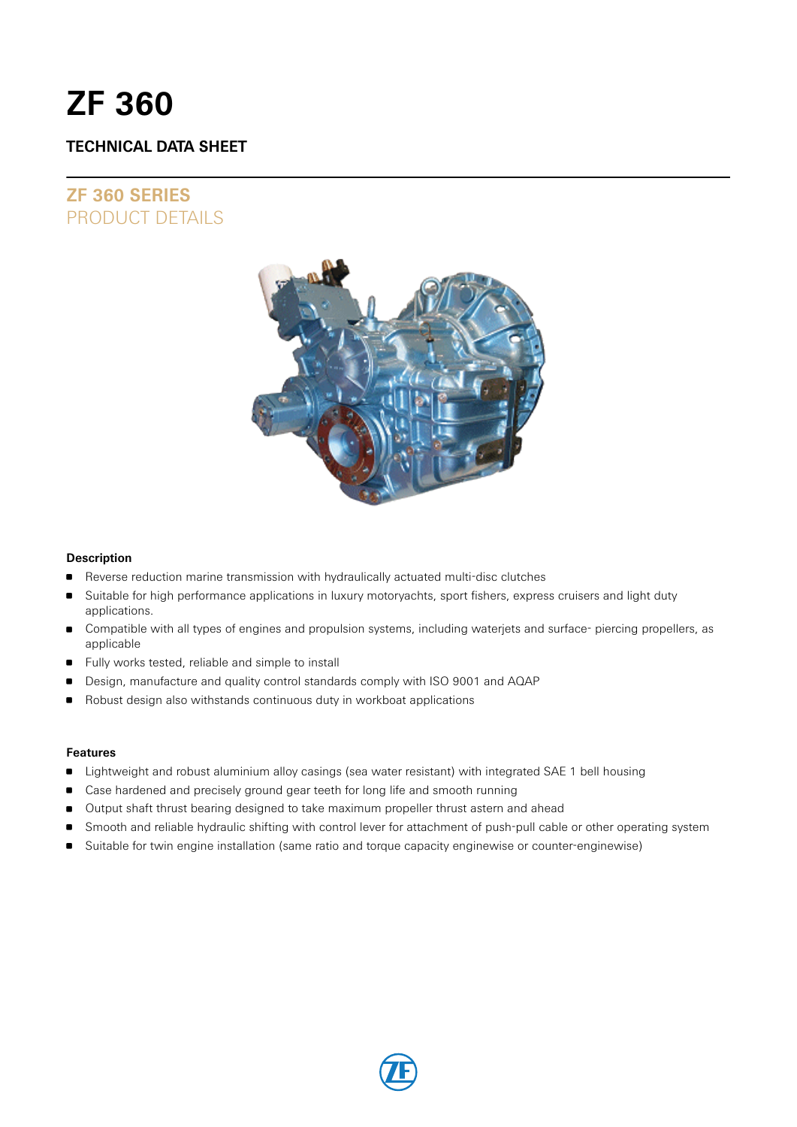# **ZF 360**

# **TECHNICAL DATA SHEET**

# **ZF 360 SERIES** PRODUCT DETAILS



#### **Description**

- Reverse reduction marine transmission with hydraulically actuated multi-disc clutches
- Suitable for high performance applications in luxury motoryachts, sport fishers, express cruisers and light duty applications.
- Compatible with all types of engines and propulsion systems, including waterjets and surface- piercing propellers, as applicable
- Fully works tested, reliable and simple to install
- Design, manufacture and quality control standards comply with ISO 9001 and AQAP
- Robust design also withstands continuous duty in workboat applications

#### **Features**

- **Example 1** Lightweight and robust aluminium alloy casings (sea water resistant) with integrated SAE 1 bell housing
- **Case hardened and precisely ground gear teeth for long life and smooth running**
- Output shaft thrust bearing designed to take maximum propeller thrust astern and ahead
- Smooth and reliable hydraulic shifting with control lever for attachment of push-pull cable or other operating system
- Suitable for twin engine installation (same ratio and torque capacity enginewise or counter-enginewise)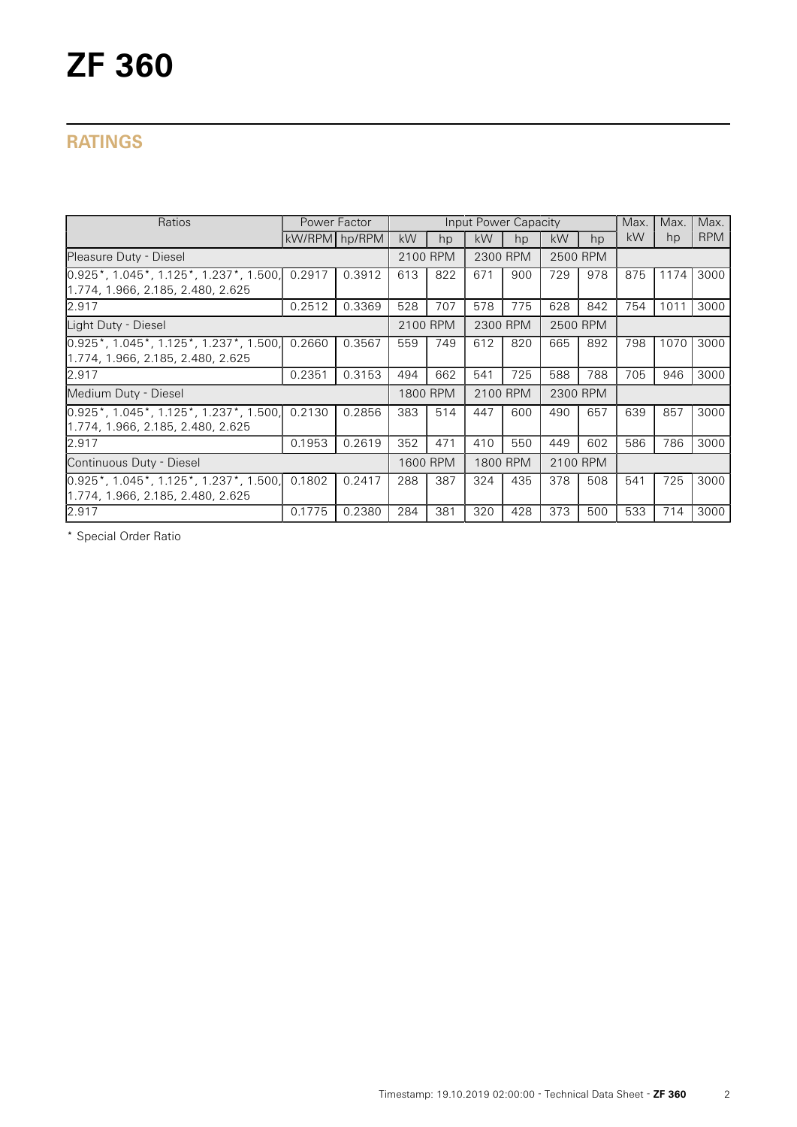# **RATINGS**

| Ratios                                                                                                 |               | Power Factor |          |          | Input Power Capacity |          |          |          | Max. | Max. | Max.       |
|--------------------------------------------------------------------------------------------------------|---------------|--------------|----------|----------|----------------------|----------|----------|----------|------|------|------------|
|                                                                                                        | kW/RPM hp/RPM |              | kW       | hp       | kW                   | hp       | kW       | hp       | kW   | hp   | <b>RPM</b> |
| Pleasure Duty - Diesel                                                                                 |               |              |          | 2100 RPM |                      | 2300 RPM |          | 2500 RPM |      |      |            |
| $[0.925^{\ast}, 1.045^{\ast}, 1.125^{\ast}, 1.237^{\ast}, 1.500]$<br>1.774, 1.966, 2.185, 2.480, 2.625 | 0.2917        | 0.3912       | 613      | 822      | 671                  | 900      | 729      | 978      | 875  | 1174 | 3000       |
| 2.917                                                                                                  | 0.2512        | 0.3369       | 528      | 707      | 578                  | 775      | 628      | 842      | 754  | 1011 | 3000       |
| Light Duty - Diesel                                                                                    |               |              | 2100 RPM |          | 2300 RPM             |          | 2500 RPM |          |      |      |            |
| $[0.925^{\ast}, 1.045^{\ast}, 1.125^{\ast}, 1.237^{\ast}, 1.500]$<br>1.774, 1.966, 2.185, 2.480, 2.625 | 0.2660        | 0.3567       | 559      | 749      | 612                  | 820      | 665      | 892      | 798  | 1070 | 3000       |
| 2.917                                                                                                  | 0.2351        | 0.3153       | 494      | 662      | 541                  | 725      | 588      | 788      | 705  | 946  | 3000       |
| Medium Duty - Diesel                                                                                   |               |              | 1800 RPM |          | 2100 RPM             |          | 2300 RPM |          |      |      |            |
| $[0.925^*, 1.045^*, 1.125^*, 1.237^*, 1.500]$<br>1.774, 1.966, 2.185, 2.480, 2.625                     | 0.2130        | 0.2856       | 383      | 514      | 447                  | 600      | 490      | 657      | 639  | 857  | 3000       |
| 2.917                                                                                                  | 0.1953        | 0.2619       | 352      | 471      | 410                  | 550      | 449      | 602      | 586  | 786  | 3000       |
| Continuous Duty - Diesel                                                                               |               |              | 1600 RPM |          | 1800 RPM             |          | 2100 RPM |          |      |      |            |
| $[0.925^{\ast}, 1.045^{\ast}, 1.125^{\ast}, 1.237^{\ast}, 1.500]$<br>1.774, 1.966, 2.185, 2.480, 2.625 | 0.1802        | 0.2417       | 288      | 387      | 324                  | 435      | 378      | 508      | 541  | 725  | 3000       |
| 2.917                                                                                                  | 0.1775        | 0.2380       | 284      | 381      | 320                  | 428      | 373      | 500      | 533  | 714  | 3000       |

\* Special Order Ratio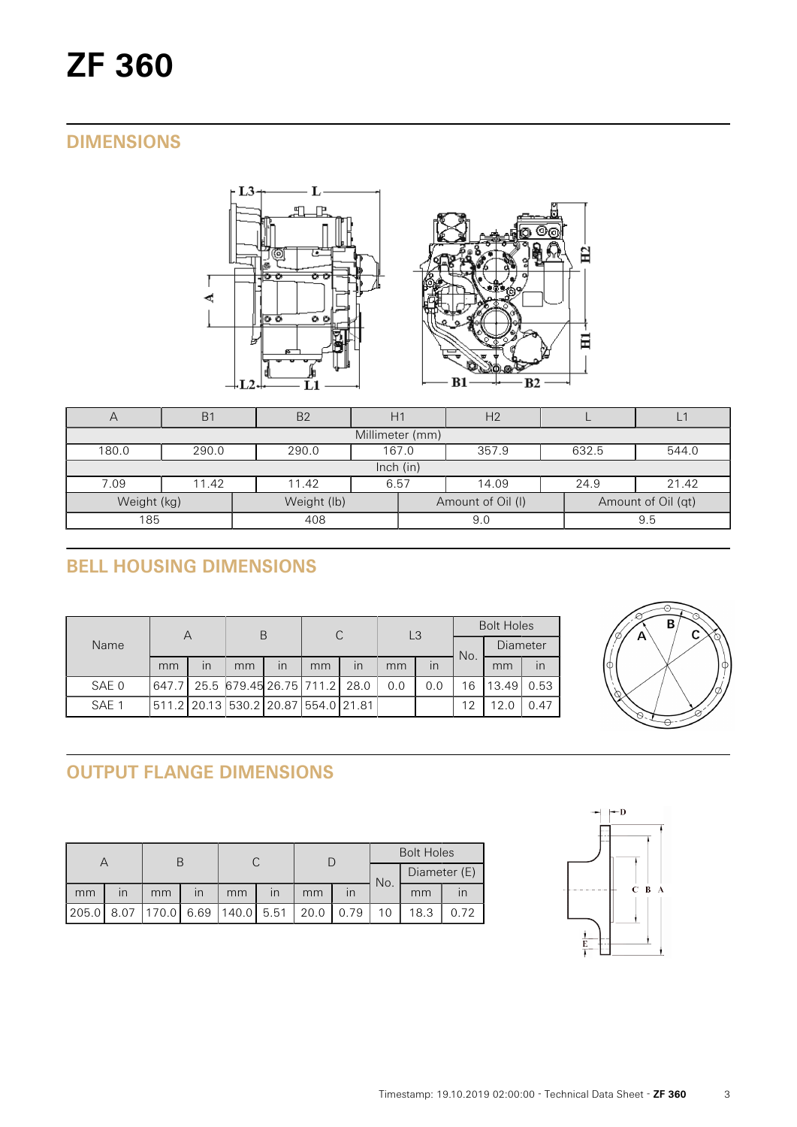# **DIMENSIONS**



| $\forall$                  | B <sub>1</sub>                                     | B <sub>2</sub> |      |     | H <sub>2</sub>    |      |                    |  |  |  |
|----------------------------|----------------------------------------------------|----------------|------|-----|-------------------|------|--------------------|--|--|--|
| Millimeter (mm)            |                                                    |                |      |     |                   |      |                    |  |  |  |
| 180.0                      | 357.9<br>290.0<br>290.0<br>167.0<br>632.5<br>544.0 |                |      |     |                   |      |                    |  |  |  |
| lnch (in)                  |                                                    |                |      |     |                   |      |                    |  |  |  |
| 7.09                       | 11.42                                              | 11.42          | 6.57 |     | 14.09             | 24.9 | 21.42              |  |  |  |
| Weight (lb)<br>Weight (kg) |                                                    |                |      |     | Amount of Oil (I) |      | Amount of Oil (qt) |  |  |  |
| 185<br>408                 |                                                    |                |      | 9.0 |                   | 9.5  |                    |  |  |  |

# **BELL HOUSING DIMENSIONS**

| Name  | Α  |                         | B                                   |                         | С  |    | L <sub>3</sub> |     | <b>Bolt Holes</b> |          |      |
|-------|----|-------------------------|-------------------------------------|-------------------------|----|----|----------------|-----|-------------------|----------|------|
|       |    |                         |                                     |                         |    |    |                |     | No.               | Diameter |      |
|       | mm | $\overline{\mathsf{I}}$ | mm                                  | $\overline{\mathsf{I}}$ | mm | in | mm             | in  |                   | mm       | in   |
| SAE 0 |    |                         | 647.7 25.5 679.45 26.75 711.2 28.0  |                         |    |    | 0.0            | 0.0 | 16                | 13.49    | 0.53 |
| SAE 1 |    |                         | 511.2 20.13 530.2 20.87 554.0 21.81 |                         |    |    |                |     | 12                | 12.0     | 0.47 |



# **OUTPUT FLANGE DIMENSIONS**

|       |                         |                                    |                         |    |                         |      | <b>Bolt Holes</b> |     |              |      |
|-------|-------------------------|------------------------------------|-------------------------|----|-------------------------|------|-------------------|-----|--------------|------|
|       |                         |                                    |                         |    |                         |      |                   | No. | Diameter (E) |      |
| mm    | $\mathsf{I} \mathsf{n}$ | mm                                 | $\overline{\mathsf{I}}$ | mm | $\overline{\mathsf{I}}$ | mm   |                   |     | mm           |      |
| 205.0 |                         | 8.07   170.0   6.69   140.0   5.51 |                         |    |                         | 20.0 | 0.79              |     | 18.3         | 0.72 |